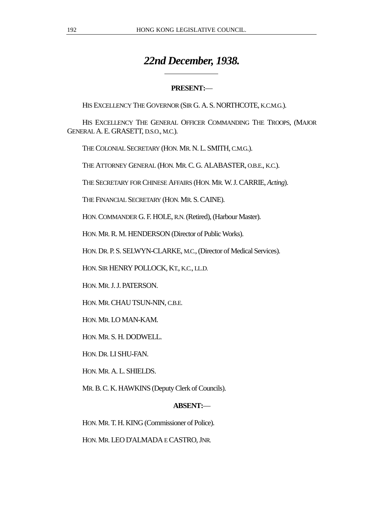# *22nd December, 1938.*

## **PRESENT:**—

HIS EXCELLENCY THE GOVERNOR (SIR G. A. S. NORTHCOTE, K.C.M.G.).

HIS EXCELLENCY THE GENERAL OFFICER COMMANDING THE TROOPS, (MAJOR GENERAL A. E. GRASETT, D.S.O., M.C.).

THE COLONIAL SECRETARY (HON. MR. N. L. SMITH, C.M.G.).

 $\overline{a}$ 

THE ATTORNEY GENERAL (HON. MR. C. G. ALABASTER, O.B.E., K.C.).

THE SECRETARY FOR CHINESE AFFAIRS (HON. MR. W. J. CARRIE, *Acting*).

THE FINANCIAL SECRETARY (HON. MR. S. CAINE).

HON. COMMANDER G. F. HOLE, R.N. (Retired), (Harbour Master).

HON. MR. R. M. HENDERSON (Director of Public Works).

HON. DR. P. S. SELWYN-CLARKE, M.C., (Director of Medical Services).

HON. SIR HENRY POLLOCK, KT., K.C., LL.D.

HON. MR. J. J. PATERSON.

HON. MR. CHAU TSUN-NIN, C.B.E.

HON. MR. LO MAN-KAM.

HON. MR. S. H. DODWELL.

HON. DR. LI SHU-FAN.

HON. MR. A. L. SHIELDS.

MR. B. C. K. HAWKINS (Deputy Clerk of Councils).

## **ABSENT:**—

HON. MR. T. H. KING (Commissioner of Police).

HON. MR. LEO D'ALMADA E CASTRO, JNR.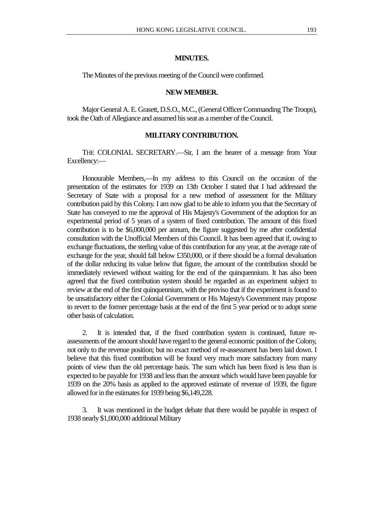#### **MINUTES.**

The Minutes of the previous meeting of the Council were confirmed.

#### **NEW MEMBER.**

Major General A. E. Grasett, D.S.O., M.C., (General Officer Commanding The Troops), took the Oath of Allegiance and assumed his seat as a member of the Council.

## **MILITARY CONTRIBUTION.**

THE COLONIAL SECRETARY.—Sir, I am the bearer of a message from Your Excellency:—

Honourable Members,—In my address to this Council on the occasion of the presentation of the estimates for 1939 on 13th October I stated that I had addressed the Secretary of State with a proposal for a new method of assessment for the Military contribution paid by this Colony. I am now glad to be able to inform you that the Secretary of State has conveyed to me the approval of His Majesty's Government of the adoption for an experimental period of 5 years of a system of fixed contribution. The amount of this fixed contribution is to be \$6,000,000 per annum, the figure suggested by me after confidential consultation with the Unofficial Members of this Council. It has been agreed that if, owing to exchange fluctuations, the sterling value of this contribution for any year, at the average rate of exchange for the year, should fall below £350,000, or if there should be a formal devaluation of the dollar reducing its value below that figure, the amount of the contribution should be immediately reviewed without waiting for the end of the quinquennium. It has also been agreed that the fixed contribution system should be regarded as an experiment subject to review at the end of the first quinquennium, with the proviso that if the experiment is found to be unsatisfactory either the Colonial Government or His Majesty's Government may propose to revert to the former percentage basis at the end of the first 5 year period or to adopt some other basis of calculation.

2. It is intended that, if the fixed contribution system is continued, future reassessments of the amount should have regard to the general economic position of the Colony, not only to the revenue position; but no exact method of re-assessment has been laid down. I believe that this fixed contribution will be found very much more satisfactory from many points of view than the old percentage basis. The sum which has been fixed is less than is expected to be payable for 1938 and less than the amount which would have been payable for 1939 on the 20% basis as applied to the approved estimate of revenue of 1939, the figure allowed for in the estimates for 1939 being \$6,149,228.

3. It was mentioned in the budget debate that there would be payable in respect of 1938 nearly \$1,000,000 additional Military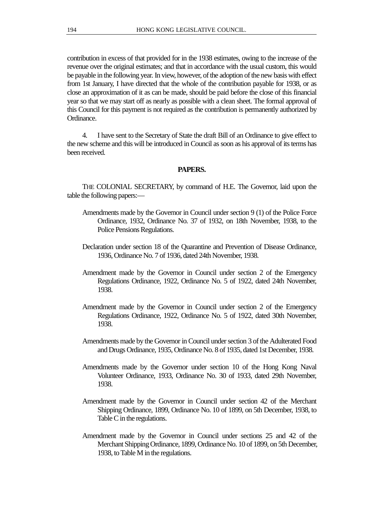contribution in excess of that provided for in the 1938 estimates, owing to the increase of the revenue over the original estimates; and that in accordance with the usual custom, this would be payable in the following year. In view, however, of the adoption of the new basis with effect from 1st January, I have directed that the whole of the contribution payable for 1938, or as close an approximation of it as can be made, should be paid before the close of this financial year so that we may start off as nearly as possible with a clean sheet. The formal approval of this Council for this payment is not required as the contribution is permanently authorized by Ordinance.

4. I have sent to the Secretary of State the draft Bill of an Ordinance to give effect to the new scheme and this will be introduced in Council as soon as his approval of its terms has been received.

#### **PAPERS.**

THE COLONIAL SECRETARY, by command of H.E. The Governor, laid upon the table the following papers:—

- Amendments made by the Governor in Council under section 9 (1) of the Police Force Ordinance, 1932, Ordinance No. 37 of 1932, on 18th November, 1938, to the Police Pensions Regulations.
- Declaration under section 18 of the Quarantine and Prevention of Disease Ordinance, 1936, Ordinance No. 7 of 1936, dated 24th November, 1938.
- Amendment made by the Governor in Council under section 2 of the Emergency Regulations Ordinance, 1922, Ordinance No. 5 of 1922, dated 24th November, 1938.
- Amendment made by the Governor in Council under section 2 of the Emergency Regulations Ordinance, 1922, Ordinance No. 5 of 1922, dated 30th November, 1938.
- Amendments made by the Governor in Council under section 3 of the Adulterated Food and Drugs Ordinance, 1935, Ordinance No. 8 of 1935, dated 1st December, 1938.
- Amendments made by the Governor under section 10 of the Hong Kong Naval Volunteer Ordinance, 1933, Ordinance No. 30 of 1933, dated 29th November, 1938.
- Amendment made by the Governor in Council under section 42 of the Merchant Shipping Ordinance, 1899, Ordinance No. 10 of 1899, on 5th December, 1938, to Table C in the regulations.
- Amendment made by the Governor in Council under sections 25 and 42 of the Merchant Shipping Ordinance, 1899, Ordinance No. 10 of 1899, on 5th December, 1938, to Table M in the regulations.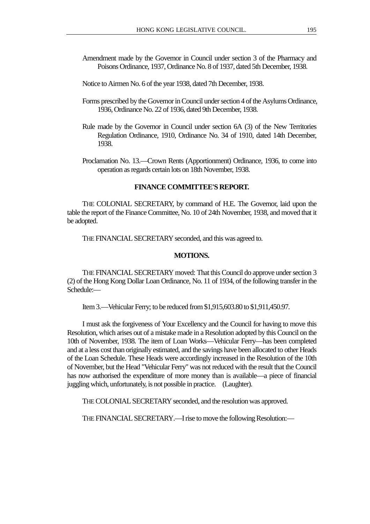- Amendment made by the Governor in Council under section 3 of the Pharmacy and Poisons Ordinance, 1937, Ordinance No. 8 of 1937, dated 5th December, 1938.
- Notice to Airmen No. 6 of the year 1938, dated 7th December, 1938.
- Forms prescribed by the Governor in Council under section 4 of the Asylums Ordinance, 1936, Ordinance No. 22 of 1936, dated 9th December, 1938.
- Rule made by the Governor in Council under section 6A (3) of the New Territories Regulation Ordinance, 1910, Ordinance No. 34 of 1910, dated 14th December, 1938.
- Proclamation No. 13.—Crown Rents (Apportionment) Ordinance, 1936, to come into operation as regards certain lots on 18th November, 1938.

#### **FINANCE COMMITTEE'S REPORT.**

THE COLONIAL SECRETARY, by command of H.E. The Governor, laid upon the table the report of the Finance Committee, No. 10 of 24th November, 1938, and moved that it be adopted.

THE FINANCIAL SECRETARY seconded, and this was agreed to.

#### **MOTIONS.**

THE FINANCIAL SECRETARY moved: That this Council do approve under section 3 (2) of the Hong Kong Dollar Loan Ordinance, No. 11 of 1934, of the following transfer in the Schedule:—

Item 3.—Vehicular Ferry; to be reduced from \$1,915,603.80 to \$1,911,450.97.

I must ask the forgiveness of Your Excellency and the Council for having to move this Resolution, which arises out of a mistake made in a Resolution adopted by this Council on the 10th of November, 1938. The item of Loan Works—Vehicular Ferry—has been completed and at a less cost than originally estimated, and the savings have been allocated to other Heads of the Loan Schedule. These Heads were accordingly increased in the Resolution of the 10th of November, but the Head "Vehicular Ferry" was not reduced with the result that the Council has now authorised the expenditure of more money than is available—a piece of financial juggling which, unfortunately, is not possible in practice. (Laughter).

THE COLONIAL SECRETARY seconded, and the resolution was approved.

THE FINANCIAL SECRETARY.—I rise to move the following Resolution:—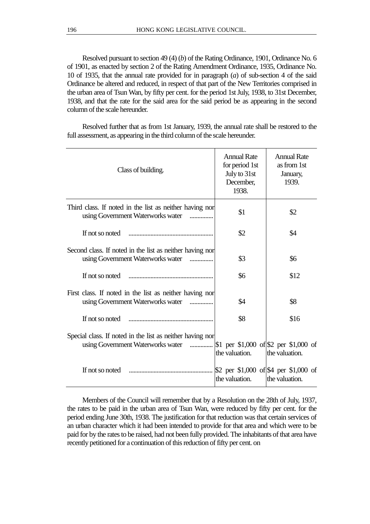Resolved pursuant to section 49 (4) (*b*) of the Rating Ordinance, 1901, Ordinance No. 6 of 1901, as enacted by section 2 of the Rating Amendment Ordinance, 1935, Ordinance No. 10 of 1935, that the annual rate provided for in paragraph (*a*) of sub-section 4 of the said Ordinance be altered and reduced, in respect of that part of the New Territories comprised in the urban area of Tsun Wan, by fifty per cent. for the period 1st July, 1938, to 31st December, 1938, and that the rate for the said area for the said period be as appearing in the second column of the scale hereunder.

Resolved further that as from 1st January, 1939, the annual rate shall be restored to the full assessment, as appearing in the third column of the scale hereunder.

| Class of building.                                                                                                                    | <b>Annual Rate</b><br>for period 1st<br>July to 31st<br>December,<br>1938. | <b>Annual Rate</b><br>as from 1st<br>January,<br>1939. |
|---------------------------------------------------------------------------------------------------------------------------------------|----------------------------------------------------------------------------|--------------------------------------------------------|
| Third class. If noted in the list as neither having nor<br>using Government Waterworks water                                          | \$1                                                                        | \$2                                                    |
| If not so noted                                                                                                                       | \$2                                                                        | \$4                                                    |
| Second class. If noted in the list as neither having nor<br>using Government Waterworks water<br>$\cdots$                             | \$3                                                                        | \$6                                                    |
|                                                                                                                                       | \$6                                                                        | \$12                                                   |
| First class. If noted in the list as neither having nor<br>using Government Waterworks water                                          | \$4                                                                        | \$8                                                    |
|                                                                                                                                       | \$8                                                                        | \$16                                                   |
| Special class. If noted in the list as neither having nor<br>using Government Waterworks water  \$1 per \$1,000 of \$2 per \$1,000 of | the valuation.                                                             | the valuation.                                         |
|                                                                                                                                       | \$2 per \$1,000 of \$4 per \$1,000 of<br>the valuation.                    | the valuation.                                         |

Members of the Council will remember that by a Resolution on the 28th of July, 1937, the rates to be paid in the urban area of Tsun Wan, were reduced by fifty per cent. for the period ending June 30th, 1938. The justification for that reduction was that certain services of an urban character which it had been intended to provide for that area and which were to be paid for by the rates to be raised, had not been fully provided. The inhabitants of that area have recently petitioned for a continuation of this reduction of fifty per cent. on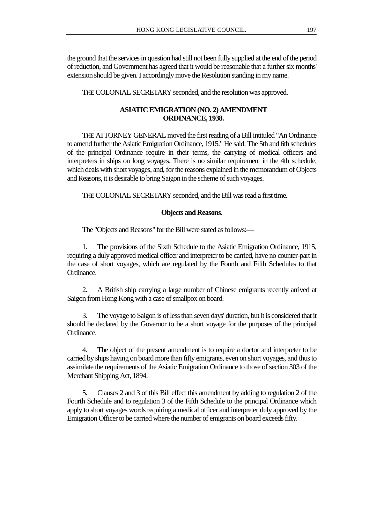the ground that the services in question had still not been fully supplied at the end of the period of reduction, and Government has agreed that it would be reasonable that a further six months' extension should be given. I accordingly move the Resolution standing in my name.

THE COLONIAL SECRETARY seconded, and the resolution was approved.

## **ASIATIC EMIGRATION (NO. 2) AMENDMENT ORDINANCE, 1938.**

THE ATTORNEY GENERAL moved the first reading of a Bill intituled "An Ordinance to amend further the Asiatic Emigration Ordinance, 1915." He said: The 5th and 6th schedules of the principal Ordinance require in their terms, the carrying of medical officers and interpreters in ships on long voyages. There is no similar requirement in the 4th schedule, which deals with short voyages, and, for the reasons explained in the memorandum of Objects and Reasons, it is desirable to bring Saigon in the scheme of such voyages.

THE COLONIAL SECRETARY seconded, and the Bill was read a first time.

## **Objects and Reasons.**

The "Objects and Reasons" for the Bill were stated as follows:—

1. The provisions of the Sixth Schedule to the Asiatic Emigration Ordinance, 1915, requiring a duly approved medical officer and interpreter to be carried, have no counter-part in the case of short voyages, which are regulated by the Fourth and Fifth Schedules to that Ordinance.

2. A British ship carrying a large number of Chinese emigrants recently arrived at Saigon from Hong Kong with a case of smallpox on board.

3. The voyage to Saigon is of less than seven days' duration, but it is considered that it should be declared by the Governor to be a short voyage for the purposes of the principal Ordinance.

4. The object of the present amendment is to require a doctor and interpreter to be carried by ships having on board more than fifty emigrants, even on short voyages, and thus to assimilate the requirements of the Asiatic Emigration Ordinance to those of section 303 of the Merchant Shipping Act, 1894.

5. Clauses 2 and 3 of this Bill effect this amendment by adding to regulation 2 of the Fourth Schedule and to regulation 3 of the Fifth Schedule to the principal Ordinance which apply to short voyages words requiring a medical officer and interpreter duly approved by the Emigration Officer to be carried where the number of emigrants on board exceeds fifty.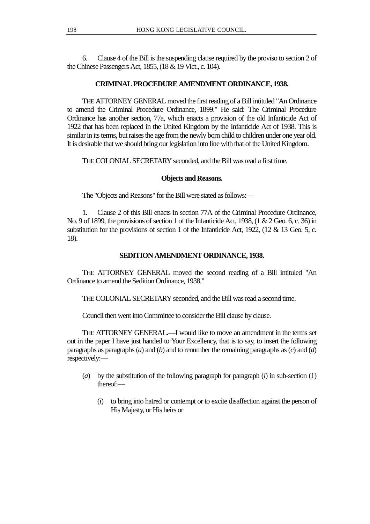6. Clause 4 of the Bill is the suspending clause required by the proviso to section 2 of the Chinese Passengers Act, 1855, (18 & 19 Vict., c. 104).

## **CRIMINAL PROCEDURE AMENDMENT ORDINANCE, 1938.**

THE ATTORNEY GENERAL moved the first reading of a Bill intituled "An Ordinance to amend the Criminal Procedure Ordinance, 1899." He said: The Criminal Procedure Ordinance has another section, 77a, which enacts a provision of the old Infanticide Act of 1922 that has been replaced in the United Kingdom by the Infanticide Act of 1938. This is similar in its terms, but raises the age from the newly born child to children under one year old. It is desirable that we should bring our legislation into line with that of the United Kingdom.

THE COLONIAL SECRETARY seconded, and the Bill was read a first time.

## **Objects and Reasons.**

The "Objects and Reasons" for the Bill were stated as follows:—

1. Clause 2 of this Bill enacts in section 77A of the Criminal Procedure Ordinance, No. 9 of 1899, the provisions of section 1 of the Infanticide Act, 1938, (1 & 2 Geo. 6, c. 36) in substitution for the provisions of section 1 of the Infanticide Act, 1922, (12 & 13 Geo. 5, c. 18).

## **SEDITION AMENDMENT ORDINANCE, 1938.**

THE ATTORNEY GENERAL moved the second reading of a Bill intituled "An Ordinance to amend the Sedition Ordinance, 1938."

THE COLONIAL SECRETARY seconded, and the Bill was read a second time.

Council then went into Committee to consider the Bill clause by clause.

THE ATTORNEY GENERAL.—I would like to move an amendment in the terms set out in the paper I have just handed to Your Excellency, that is to say, to insert the following paragraphs as paragraphs (*a*) and (*b*) and to renumber the remaining paragraphs as (*c*) and (*d*) respectively:—

- (*a*) by the substitution of the following paragraph for paragraph (*i*) in sub-section (1) thereof:—
	- (*i*) to bring into hatred or contempt or to excite disaffection against the person of His Majesty, or His heirs or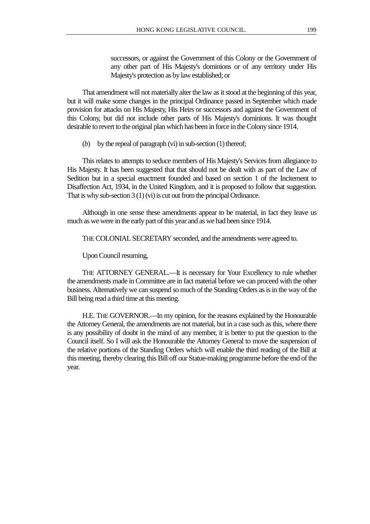successors, or against the Government of this Colony or the Government of any other part of His Majesty's dominions or of any territory under His Majesty's protection as by law established; or

That amendment will not materially alter the law as it stood at the beginning of this year, but it will make some changes in the principal Ordinance passed in September which made provision for attacks on His Majesty, His Heirs or successors and against the Government of this Colony, but did not include other parts of His Majesty's dominions. It was thought desirable to revert to the original plan which has been in force in the Colony since 1914.

(*b*) by the repeal of paragraph (vi) in sub-section  $(1)$  thereof;

This relates to attempts to seduce members of His Majesty's Services from allegiance to His Majesty. It has been suggested that that should not be dealt with as part of the Law of Sedition but in a special enactment founded and based on section 1 of the Incitement to Disaffection Act, 1934, in the United Kingdom, and it is proposed to follow that suggestion. That is why sub-section 3 (1) (vi) is cut out from the principal Ordinance.

Although in one sense these amendments appear to be material, in fact they leave us much as we were in the early part of this year and as we had been since 1914.

THE COLONIAL SECRETARY seconded, and the amendments were agreed to.

Upon Council resuming,

THE ATTORNEY GENERAL.—It is necessary for Your Excellency to rule whether the amendments made in Committee are in fact material before we can proceed with the other business. Alternatively we can suspend so much of the Standing Orders as is in the way of the Bill being read a third time at this meeting.

H.E. THE GOVERNOR.—In my opinion, for the reasons explained by the Honourable the Attorney General, the amendments are not material, but in a case such as this, where there is any possibility of doubt in the mind of any member, it is better to put the question to the Council itself. So I will ask the Honourable the Attorney General to move the suspension of the relative portions of the Standing Orders which will enable the third reading of the Bill at this meeting, thereby clearing this Bill off our Statue-making programme before the end of the year.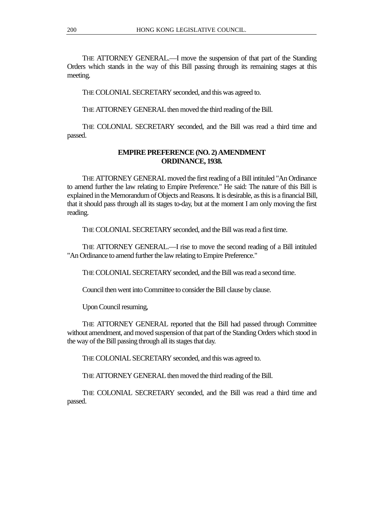THE ATTORNEY GENERAL.—I move the suspension of that part of the Standing Orders which stands in the way of this Bill passing through its remaining stages at this meeting.

THE COLONIAL SECRETARY seconded, and this was agreed to.

THE ATTORNEY GENERAL then moved the third reading of the Bill.

THE COLONIAL SECRETARY seconded, and the Bill was read a third time and passed.

## **EMPIRE PREFERENCE (NO. 2) AMENDMENT ORDINANCE, 1938.**

THE ATTORNEY GENERAL moved the first reading of a Bill intituled "An Ordinance to amend further the law relating to Empire Preference." He said: The nature of this Bill is explained in the Memorandum of Objects and Reasons. It is desirable, as this is a financial Bill, that it should pass through all its stages to-day, but at the moment I am only moving the first reading.

THE COLONIAL SECRETARY seconded, and the Bill was read a first time.

THE ATTORNEY GENERAL.—I rise to move the second reading of a Bill intituled "An Ordinance to amend further the law relating to Empire Preference."

THE COLONIAL SECRETARY seconded, and the Bill was read a second time.

Council then went into Committee to consider the Bill clause by clause.

Upon Council resuming,

THE ATTORNEY GENERAL reported that the Bill had passed through Committee without amendment, and moved suspension of that part of the Standing Orders which stood in the way of the Bill passing through all its stages that day.

THE COLONIAL SECRETARY seconded, and this was agreed to.

THE ATTORNEY GENERAL then moved the third reading of the Bill.

THE COLONIAL SECRETARY seconded, and the Bill was read a third time and passed.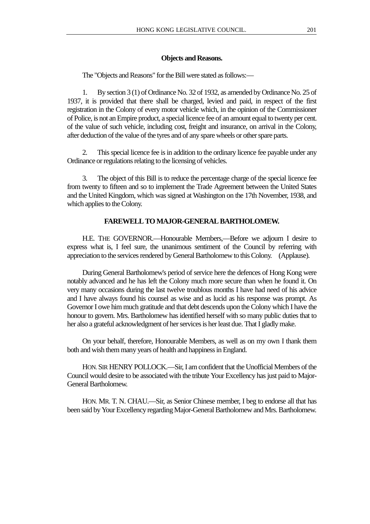#### **Objects and Reasons.**

The "Objects and Reasons" for the Bill were stated as follows:—

1. By section 3 (1) of Ordinance No. 32 of 1932, as amended by Ordinance No. 25 of 1937, it is provided that there shall be charged, levied and paid, in respect of the first registration in the Colony of every motor vehicle which, in the opinion of the Commissioner of Police, is not an Empire product, a special licence fee of an amount equal to twenty per cent. of the value of such vehicle, including cost, freight and insurance, on arrival in the Colony, after deduction of the value of the tyres and of any spare wheels or other spare parts.

2. This special licence fee is in addition to the ordinary licence fee payable under any Ordinance or regulations relating to the licensing of vehicles.

3. The object of this Bill is to reduce the percentage charge of the special licence fee from twenty to fifteen and so to implement the Trade Agreement between the United States and the United Kingdom, which was signed at Washington on the 17th November, 1938, and which applies to the Colony.

## **FAREWELL TO MAJOR-GENERAL BARTHOLOMEW.**

H.E. THE GOVERNOR.—Honourable Members,—Before we adjourn I desire to express what is, I feel sure, the unanimous sentiment of the Council by referring with appreciation to the services rendered by General Bartholomew to this Colony. (Applause).

During General Bartholomew's period of service here the defences of Hong Kong were notably advanced and he has left the Colony much more secure than when he found it. On very many occasions during the last twelve troublous months I have had need of his advice and I have always found his counsel as wise and as lucid as his response was prompt. As Governor I owe him much gratitude and that debt descends upon the Colony which I have the honour to govern. Mrs. Bartholomew has identified herself with so many public duties that to her also a grateful acknowledgment of her services is her least due. That I gladly make.

On your behalf, therefore, Honourable Members, as well as on my own I thank them both and wish them many years of health and happiness in England.

HON. SIR HENRY POLLOCK.—Sir, I am confident that the Unofficial Members of the Council would desire to be associated with the tribute Your Excellency has just paid to Major-General Bartholomew.

HON. MR. T. N. CHAU.—Sir, as Senior Chinese member, I beg to endorse all that has been said by Your Excellency regarding Major-General Bartholomew and Mrs. Bartholomew.